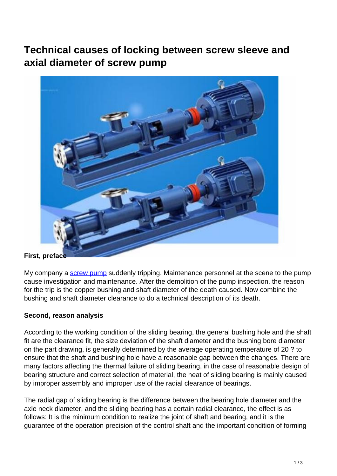# **Technical causes of locking between screw sleeve and axial diameter of screw pump**



### **First, preface**

My company a [screw pump](http://www.part-komatsu.com/) suddenly tripping. Maintenance personnel at the scene to the pump cause investigation and maintenance. After the demolition of the pump inspection, the reason for the trip is the copper bushing and shaft diameter of the death caused. Now combine the bushing and shaft diameter clearance to do a technical description of its death.

## **Second, reason analysis**

According to the working condition of the sliding bearing, the general bushing hole and the shaft fit are the clearance fit, the size deviation of the shaft diameter and the bushing bore diameter on the part drawing, is generally determined by the average operating temperature of 20 ? to ensure that the shaft and bushing hole have a reasonable gap between the changes. There are many factors affecting the thermal failure of sliding bearing, in the case of reasonable design of bearing structure and correct selection of material, the heat of sliding bearing is mainly caused by improper assembly and improper use of the radial clearance of bearings.

The radial gap of sliding bearing is the difference between the bearing hole diameter and the axle neck diameter, and the sliding bearing has a certain radial clearance, the effect is as follows: It is the minimum condition to realize the joint of shaft and bearing, and it is the guarantee of the operation precision of the control shaft and the important condition of forming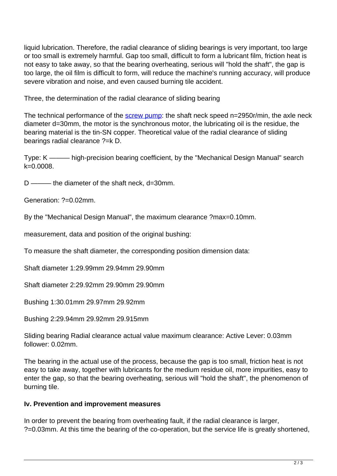liquid lubrication. Therefore, the radial clearance of sliding bearings is very important, too large or too small is extremely harmful. Gap too small, difficult to form a lubricant film, friction heat is not easy to take away, so that the bearing overheating, serious will "hold the shaft", the gap is too large, the oil film is difficult to form, will reduce the machine's running accuracy, will produce severe vibration and noise, and even caused burning tile accident.

Three, the determination of the radial clearance of sliding bearing

The technical performance of the [screw pump:](http://www.part-komatsu.com/factory-25883-tokyo-keiki-piston-pump) the shaft neck speed n=2950r/min, the axle neck diameter d=30mm, the motor is the synchronous motor, the lubricating oil is the residue, the bearing material is the tin-SN copper. Theoretical value of the radial clearance of sliding bearings radial clearance ?=k D.

Type: K ——— high-precision bearing coefficient, by the "Mechanical Design Manual" search k=0.0008.

D ——— the diameter of the shaft neck, d=30mm.

Generation: ?=0.02mm.

By the "Mechanical Design Manual", the maximum clearance ?max=0.10mm.

measurement, data and position of the original bushing:

To measure the shaft diameter, the corresponding position dimension data:

Shaft diameter 1:29.99mm 29.94mm 29.90mm

Shaft diameter 2:29.92mm 29.90mm 29.90mm

Bushing 1:30.01mm 29.97mm 29.92mm

Bushing 2:29.94mm 29.92mm 29.915mm

Sliding bearing Radial clearance actual value maximum clearance: Active Lever: 0.03mm follower: 0.02mm.

The bearing in the actual use of the process, because the gap is too small, friction heat is not easy to take away, together with lubricants for the medium residue oil, more impurities, easy to enter the gap, so that the bearing overheating, serious will "hold the shaft", the phenomenon of burning tile.

## **Iv. Prevention and improvement measures**

In order to prevent the bearing from overheating fault, if the radial clearance is larger, ?=0.03mm. At this time the bearing of the co-operation, but the service life is greatly shortened,